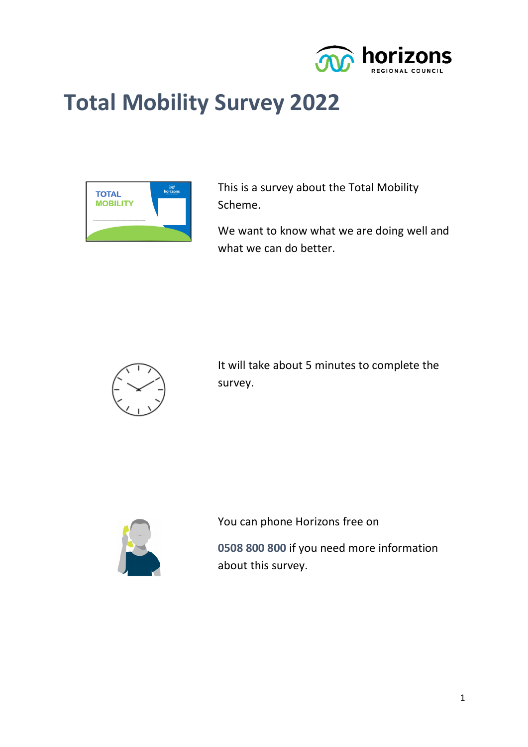

# **Total Mobility Survey 2022**



This is a survey about the Total Mobility Scheme.

We want to know what we are doing well and what we can do better.



It will take about 5 minutes to complete the survey.



You can phone Horizons free on

**0508 800 800** if you need more information about this survey.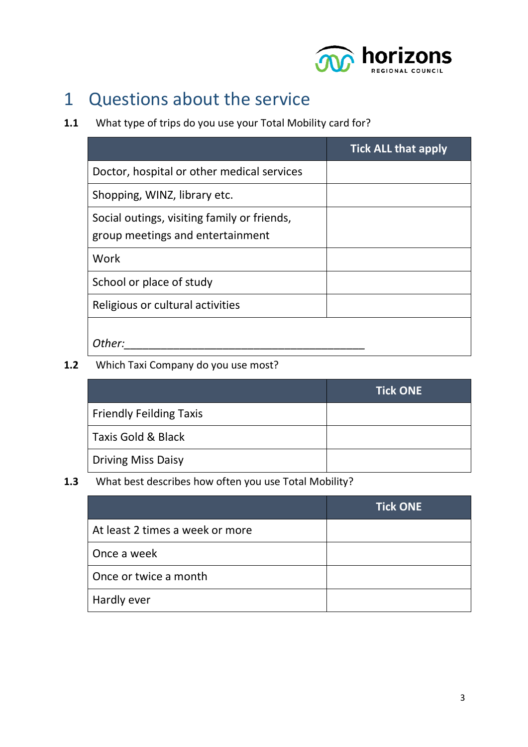

## 1 Questions about the service

#### **1.1** What type of trips do you use your Total Mobility card for?

|                                                                                 | <b>Tick ALL that apply</b> |
|---------------------------------------------------------------------------------|----------------------------|
| Doctor, hospital or other medical services                                      |                            |
| Shopping, WINZ, library etc.                                                    |                            |
| Social outings, visiting family or friends,<br>group meetings and entertainment |                            |
| Work                                                                            |                            |
| School or place of study                                                        |                            |
| Religious or cultural activities                                                |                            |
| Other:                                                                          |                            |

#### **1.2** Which Taxi Company do you use most?

|                                | <b>Tick ONE</b> |
|--------------------------------|-----------------|
| <b>Friendly Feilding Taxis</b> |                 |
| Taxis Gold & Black             |                 |
| <b>Driving Miss Daisy</b>      |                 |

#### **1.3** What best describes how often you use Total Mobility?

|                                 | <b>Tick ONE</b> |
|---------------------------------|-----------------|
| At least 2 times a week or more |                 |
| Once a week                     |                 |
| Once or twice a month           |                 |
| Hardly ever                     |                 |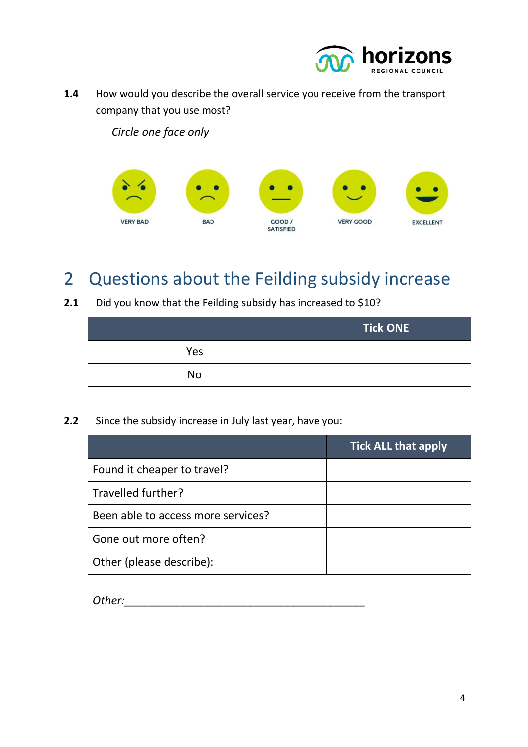

**1.4** How would you describe the overall service you receive from the transport company that you use most?

*Circle one face only*



### 2 Questions about the Feilding subsidy increase

**2.1** Did you know that the Feilding subsidy has increased to \$10?

|           | <b>Tick ONE</b> |
|-----------|-----------------|
| Yes       |                 |
| <b>No</b> |                 |

**2.2** Since the subsidy increase in July last year, have you:

|                                    | <b>Tick ALL that apply</b> |
|------------------------------------|----------------------------|
| Found it cheaper to travel?        |                            |
| Travelled further?                 |                            |
| Been able to access more services? |                            |
| Gone out more often?               |                            |
| Other (please describe):           |                            |
|                                    |                            |
| Other:                             |                            |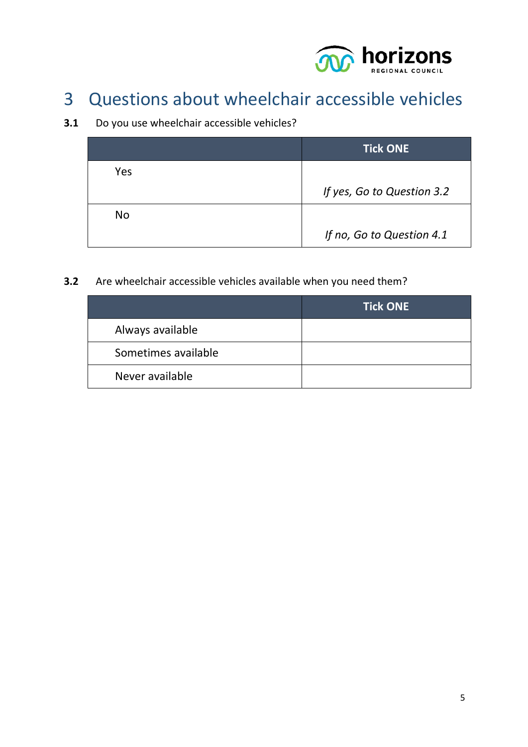

## 3 Questions about wheelchair accessible vehicles

#### **3.1** Do you use wheelchair accessible vehicles?

|     | <b>Tick ONE</b>            |
|-----|----------------------------|
| Yes |                            |
|     | If yes, Go to Question 3.2 |
| No  |                            |
|     | If no, Go to Question 4.1  |

#### **3.2** Are wheelchair accessible vehicles available when you need them?

|                     | <b>Tick ONE</b> |
|---------------------|-----------------|
| Always available    |                 |
| Sometimes available |                 |
| Never available     |                 |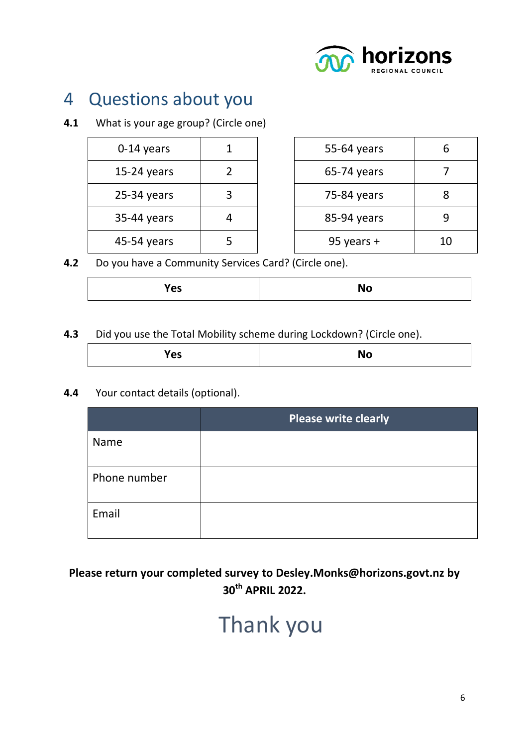

## 4 Questions about you

#### **4.1** What is your age group? (Circle one)

| 0-14 years    |  | 55-64 years  | 6  |
|---------------|--|--------------|----|
| $15-24$ years |  | 65-74 years  |    |
| $25-34$ years |  | 75-84 years  |    |
| 35-44 years   |  | 85-94 years  |    |
| 45-54 years   |  | 95 years $+$ | 10 |

**4.2** Do you have a Community Services Card? (Circle one).

| 'es<br>NO |
|-----------|
|-----------|

#### **4.3** Did you use the Total Mobility scheme during Lockdown? (Circle one).

| - -<br>Ð<br>52 | w |
|----------------|---|
|----------------|---|

**4.4** Your contact details (optional).

|              | <b>Please write clearly</b> |
|--------------|-----------------------------|
| Name         |                             |
| Phone number |                             |
| Email        |                             |

#### **Please return your completed survey to Desley.Monks@horizons.govt.nz by 30th APRIL 2022.**

# Thank you